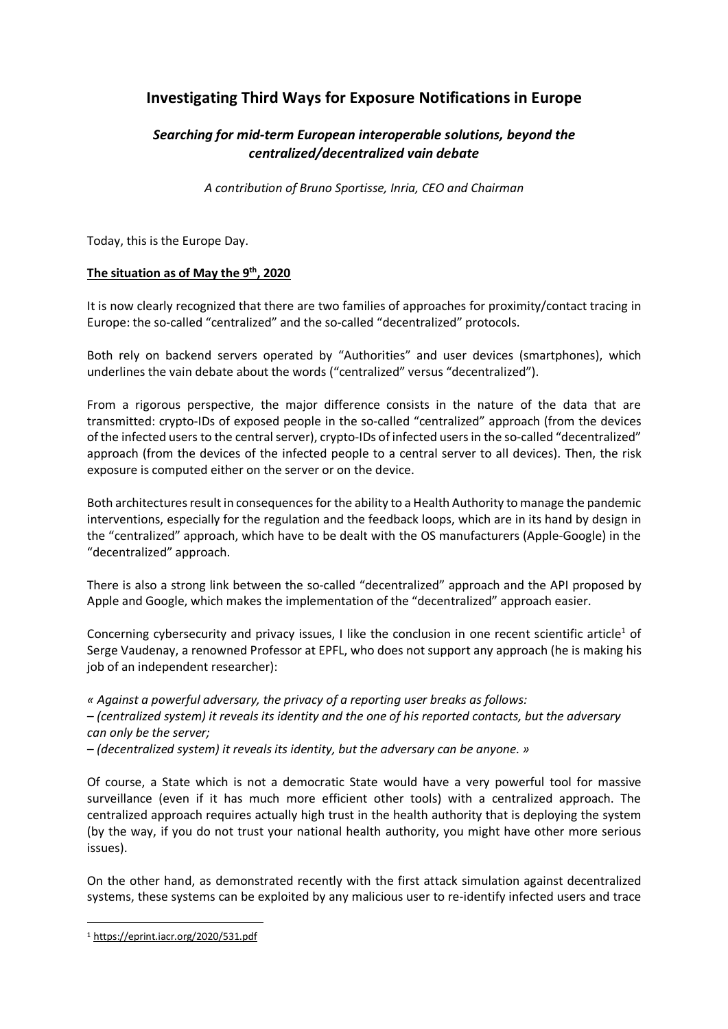# **Investigating Third Ways for Exposure Notifications in Europe**

## *Searching for mid-term European interoperable solutions, beyond the centralized/decentralized vain debate*

*A contribution of Bruno Sportisse, Inria, CEO and Chairman*

Today, this is the Europe Day.

## **The situation as of May the 9th, 2020**

It is now clearly recognized that there are two families of approaches for proximity/contact tracing in Europe: the so-called "centralized" and the so-called "decentralized" protocols.

Both rely on backend servers operated by "Authorities" and user devices (smartphones), which underlines the vain debate about the words ("centralized" versus "decentralized").

From a rigorous perspective, the major difference consists in the nature of the data that are transmitted: crypto-IDs of exposed people in the so-called "centralized" approach (from the devices of the infected users to the central server), crypto-IDs of infected users in the so-called "decentralized" approach (from the devices of the infected people to a central server to all devices). Then, the risk exposure is computed either on the server or on the device.

Both architectures result in consequences for the ability to a Health Authority to manage the pandemic interventions, especially for the regulation and the feedback loops, which are in its hand by design in the "centralized" approach, which have to be dealt with the OS manufacturers (Apple-Google) in the "decentralized" approach.

There is also a strong link between the so-called "decentralized" approach and the API proposed by Apple and Google, which makes the implementation of the "decentralized" approach easier.

Concerning cybersecurity and privacy issues, I like the conclusion in one recent scientific article<sup>1</sup> of Serge Vaudenay, a renowned Professor at EPFL, who does not support any approach (he is making his job of an independent researcher):

*« Against a powerful adversary, the privacy of a reporting user breaks as follows: – (centralized system) it reveals its identity and the one of his reported contacts, but the adversary can only be the server;* 

*– (decentralized system) it reveals its identity, but the adversary can be anyone. »*

Of course, a State which is not a democratic State would have a very powerful tool for massive surveillance (even if it has much more efficient other tools) with a centralized approach. The centralized approach requires actually high trust in the health authority that is deploying the system (by the way, if you do not trust your national health authority, you might have other more serious issues).

On the other hand, as demonstrated recently with the first attack simulation against decentralized systems, these systems can be exploited by any malicious user to re-identify infected users and trace

 <sup>1</sup> https://eprint.iacr.org/2020/531.pdf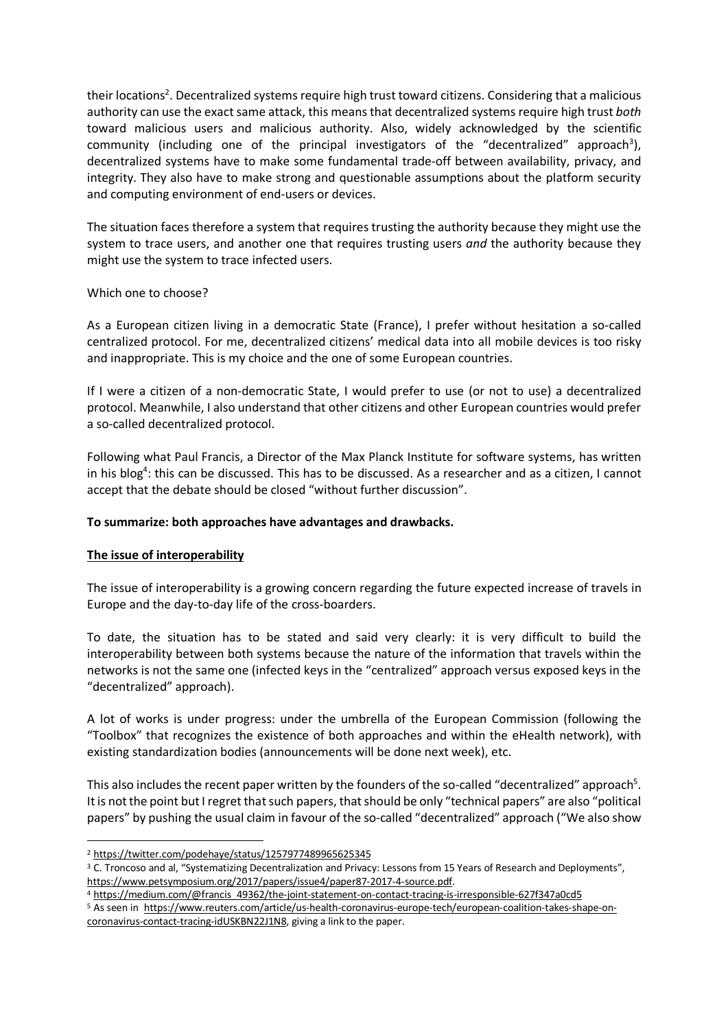their locations<sup>2</sup>. Decentralized systems require high trust toward citizens. Considering that a malicious authority can use the exact same attack, this means that decentralized systems require high trust *both* toward malicious users and malicious authority. Also, widely acknowledged by the scientific community (including one of the principal investigators of the "decentralized" approach<sup>3</sup>), decentralized systems have to make some fundamental trade-off between availability, privacy, and integrity. They also have to make strong and questionable assumptions about the platform security and computing environment of end-users or devices.

The situation faces therefore a system that requires trusting the authority because they might use the system to trace users, and another one that requires trusting users *and* the authority because they might use the system to trace infected users.

## Which one to choose?

As a European citizen living in a democratic State (France), I prefer without hesitation a so-called centralized protocol. For me, decentralized citizens' medical data into all mobile devices is too risky and inappropriate. This is my choice and the one of some European countries.

If I were a citizen of a non-democratic State, I would prefer to use (or not to use) a decentralized protocol. Meanwhile, I also understand that other citizens and other European countries would prefer a so-called decentralized protocol.

Following what Paul Francis, a Director of the Max Planck Institute for software systems, has written in his blog<sup>4</sup>: this can be discussed. This has to be discussed. As a researcher and as a citizen, I cannot accept that the debate should be closed "without further discussion".

#### **To summarize: both approaches have advantages and drawbacks.**

## **The issue of interoperability**

The issue of interoperability is a growing concern regarding the future expected increase of travels in Europe and the day-to-day life of the cross-boarders.

To date, the situation has to be stated and said very clearly: it is very difficult to build the interoperability between both systems because the nature of the information that travels within the networks is not the same one (infected keys in the "centralized" approach versus exposed keys in the "decentralized" approach).

A lot of works is under progress: under the umbrella of the European Commission (following the "Toolbox" that recognizes the existence of both approaches and within the eHealth network), with existing standardization bodies (announcements will be done next week), etc.

This also includes the recent paper written by the founders of the so-called "decentralized" approach<sup>5</sup>. It is not the point but I regret that such papers, that should be only "technical papers" are also "political papers" by pushing the usual claim in favour of the so-called "decentralized" approach ("We also show

5 As seen in https://www.reuters.com/article/us-health-coronavirus-europe-tech/european-coalition-takes-shape-oncoronavirus-contact-tracing-idUSKBN22J1N8, giving a link to the paper.

 <sup>2</sup> https://twitter.com/podehaye/status/1257977489965625345

<sup>&</sup>lt;sup>3</sup> C. Troncoso and al, "Systematizing Decentralization and Privacy: Lessons from 15 Years of Research and Deployments", https://www.petsymposium.org/2017/papers/issue4/paper87-2017-4-source.pdf.<br><sup>4</sup> https://medium.com/@francis\_49362/the-joint-statement-on-contact-tracing-is-irresponsible-627f347a0cd5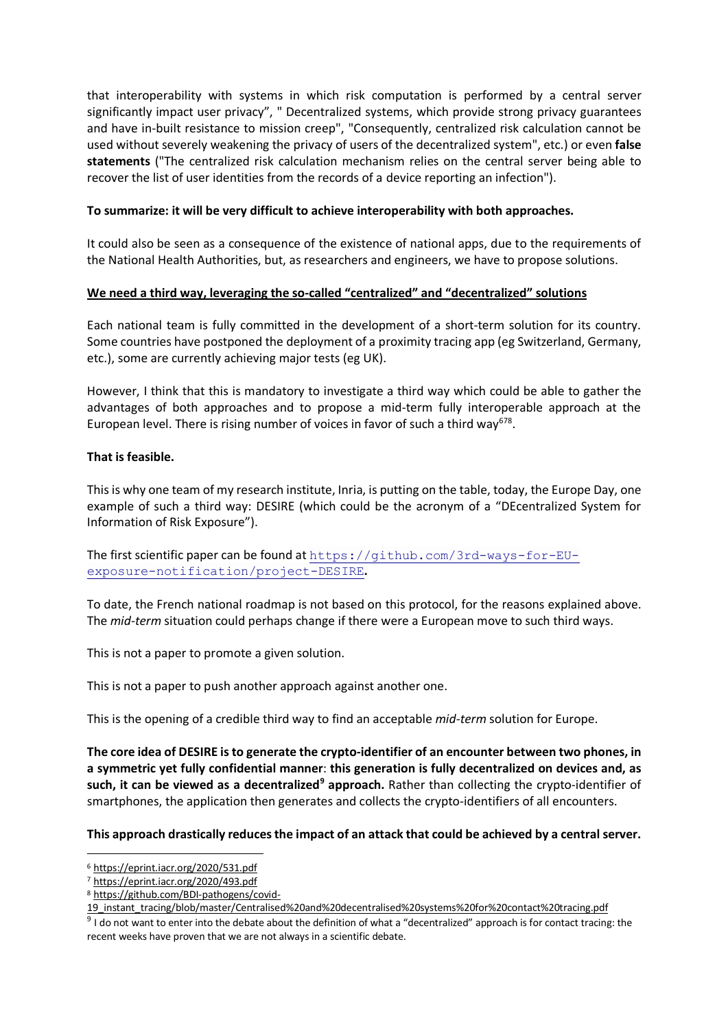that interoperability with systems in which risk computation is performed by a central server significantly impact user privacy", " Decentralized systems, which provide strong privacy guarantees and have in-built resistance to mission creep", "Consequently, centralized risk calculation cannot be used without severely weakening the privacy of users of the decentralized system", etc.) or even **false statements** ("The centralized risk calculation mechanism relies on the central server being able to recover the list of user identities from the records of a device reporting an infection").

## **To summarize: it will be very difficult to achieve interoperability with both approaches.**

It could also be seen as a consequence of the existence of national apps, due to the requirements of the National Health Authorities, but, as researchers and engineers, we have to propose solutions.

## **We need a third way, leveraging the so-called "centralized" and "decentralized" solutions**

Each national team is fully committed in the development of a short-term solution for its country. Some countries have postponed the deployment of a proximity tracing app (eg Switzerland, Germany, etc.), some are currently achieving major tests (eg UK).

However, I think that this is mandatory to investigate a third way which could be able to gather the advantages of both approaches and to propose a mid-term fully interoperable approach at the European level. There is rising number of voices in favor of such a third way<sup>678</sup>.

## **That is feasible.**

This is why one team of my research institute, Inria, is putting on the table, today, the Europe Day, one example of such a third way: DESIRE (which could be the acronym of a "DEcentralized System for Information of Risk Exposure").

The first scientific paper can be found at https://github.com/3rd-ways-for-EUexposure-notification/project-DESIRE**.**

To date, the French national roadmap is not based on this protocol, for the reasons explained above. The *mid-term* situation could perhaps change if there were a European move to such third ways.

This is not a paper to promote a given solution.

This is not a paper to push another approach against another one.

This is the opening of a credible third way to find an acceptable *mid-term* solution for Europe.

**The core idea of DESIRE is to generate the crypto-identifier of an encounter between two phones, in a symmetric yet fully confidential manner**: **this generation is fully decentralized on devices and, as such, it can be viewed as a decentralized<sup>9</sup> approach.** Rather than collecting the crypto-identifier of smartphones, the application then generates and collects the crypto-identifiers of all encounters.

#### **This approach drastically reduces the impact of an attack that could be achieved by a central server.**

 <sup>6</sup> https://eprint.iacr.org/2020/531.pdf

<sup>7</sup> https://eprint.iacr.org/2020/493.pdf

<sup>8</sup> https://github.com/BDI-pathogens/covid-

<sup>19</sup>\_instant\_tracing/blob/master/Centralised%20and%20decentralised%20systems%20for%20contact%20tracing.pdf

 $9$  I do not want to enter into the debate about the definition of what a "decentralized" approach is for contact tracing: the recent weeks have proven that we are not always in a scientific debate.